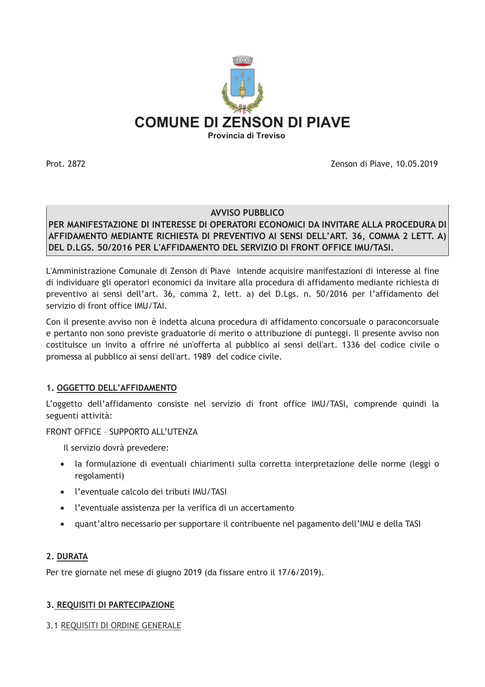

Prot. 2872

Zenson di Piave, 10.05.2019

### AVVISO PUBBLICO

PER MANIFESTAZIONE DI INTERESSE DI OPERATORI ECONOMICI DA INVITARE ALLA PROCEDURA DI AFFIDAMENTO MEDIANTE RICHIESTA DI PREVENTIVO AI SENSI DELL'ART. 36, COMMA 2 LETT. A) DEL D.LGS. 50/2016 PER L'AFFIDAMENTO DEL SERVIZIO DI FRONT OFFICE IMU/TASI.

L'Amministrazione Comunale di Zenson di Piave intende acquisire manifestazioni di interesse al fine di individuare gli operatori economici da invitare alla procedura di affidamento mediante richiesta di preventivo ai sensi dell'art. 36, comma 2, lett. a) del D.Lgs. n. 50/2016 per l'affidamento del servizio di front office IMU/TAI.

Con il presente avviso non è indetta alcuna procedura di affidamento concorsuale o paraconcorsuale e pertanto non sono previste graduatorie di merito o attribuzione di punteggi. Il presente avviso non costituisce un invito a offrire né un'offerta al pubblico ai sensi dell'art. 1336 del codice civile o promessa al pubblico ai sensi dell'art. 1989 del codice civile.

### 1. OGGETTO DELL'AFFIDAMENTO

L'oggetto dell'affidamento consiste nel servizio di front office IMU/TASI, comprende quindi la seguenti attività:

### FRONT OFFICE - SUPPORTO ALL'UTENZA

- Il servizio dovrà prevedere:
- · la formulazione di eventuali chiarimenti sulla corretta interpretazione delle norme (leggi o regolamenti)
- l'eventuale calcolo dei tributi IMU/TASI
- l'eventuale assistenza per la verifica di un accertamento
- quant'altro necessario per supportare il contribuente nel pagamento dell'IMU e della TASI

### 2. DURATA

Per tre giornate nel mese di giugno 2019 (da fissare entro il 17/6/2019).

### 3. REQUISITI DI PARTECIPAZIONE

3.1 REQUISITI DI ORDINE GENERALE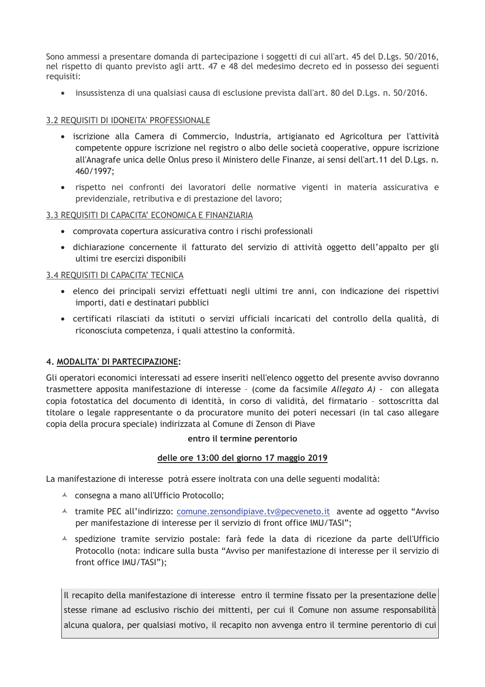Sono ammessi a presentare domanda di partecipazione i soggetti di cui all'art. 45 del D.Lgs. 50/2016, nel rispetto di quanto previsto agli artt. 47 e 48 del medesimo decreto ed in possesso dei seguenti requisiti:

• insussistenza di una qualsiasi causa di esclusione prevista dall'art. 80 del D.Lgs. n. 50/2016.

# 3.2 REQUISITI DI IDONEITA' PROFESSIONALE

- · iscrizione alla Camera di Commercio, Industria, artigianato ed Agricoltura per l'attività competente oppure iscrizione nel registro o albo delle società cooperative, oppure iscrizione all'Anagrafe unica delle Onlus preso il Ministero delle Finanze, ai sensi dell'art.11 del D.Lgs. n. 460/1997;
- · rispetto nei confronti dei lavoratori delle normative vigenti in materia assicurativa e previdenziale, retributiva e di prestazione del lavoro;

### 3.3 REQUISITI DI CAPACITA' ECONOMICA E FINANZIARIA

- comprovata copertura assicurativa contro i rischi professionali
- · dichiarazione concernente il fatturato del servizio di attività oggetto dell'appalto per gli ultimi tre esercizi disponibili

# 3.4 REOUISITI DI CAPACITA' TECNICA

- · elenco dei principali servizi effettuati negli ultimi tre anni, con indicazione dei rispettivi importi, dati e destinatari pubblici
- · certificati rilasciati da istituti o servizi ufficiali incaricati del controllo della qualità, di riconosciuta competenza, i quali attestino la conformità.

### 4. MODALITA' DI PARTECIPAZIONE:

Gli operatori economici interessati ad essere inseriti nell'elenco oggetto del presente avviso dovranno trasmettere apposita manifestazione di interesse - (come da facsimile Allegato A) - con allegata copia fotostatica del documento di identità, in corso di validità, del firmatario - sottoscritta dal titolare o legale rappresentante o da procuratore munito dei poteri necessari (in tal caso allegare copia della procura speciale) indirizzata al Comune di Zenson di Piave

### entro il termine perentorio

### delle ore 13:00 del giorno 17 maggio 2019

La manifestazione di interesse potrà essere inoltrata con una delle seguenti modalità:

- <sup>A</sup> consegna a mano all'Ufficio Protocollo;
- La tramite PEC all'indirizzo: comune.zensondipiave.tv@pecveneto.it avente ad oggetto "Avviso" per manifestazione di interesse per il servizio di front office IMU/TASI";
- A spedizione tramite servizio postale: farà fede la data di ricezione da parte dell'Ufficio Protocollo (nota: indicare sulla busta "Avviso per manifestazione di interesse per il servizio di front office IMU/TASI");

Il recapito della manifestazione di interesse entro il termine fissato per la presentazione delle stesse rimane ad esclusivo rischio dei mittenti, per cui il Comune non assume responsabilità alcuna qualora, per qualsiasi motivo, il recapito non avvenga entro il termine perentorio di cui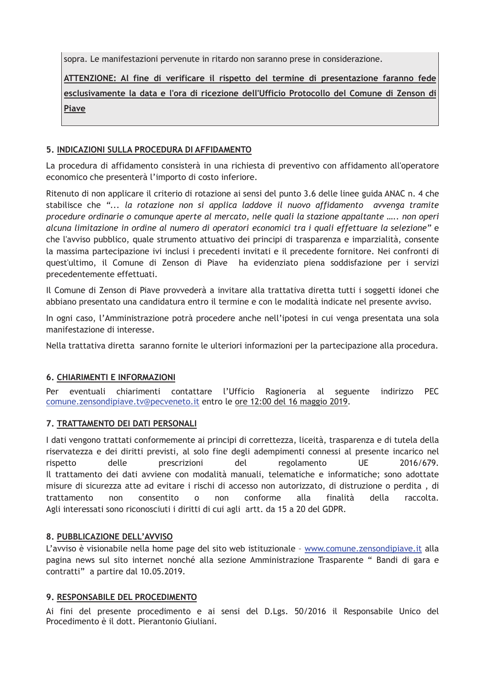sopra. Le manifestazioni pervenute in ritardo non saranno prese in considerazione.

ATTENZIONE: Al fine di verificare il rispetto del termine di presentazione faranno fede esclusivamente la data e l'ora di ricezione dell'Ufficio Protocollo del Comune di Zenson di Piave

# 5. INDICAZIONI SULLA PROCEDURA DI AFFIDAMENTO

La procedura di affidamento consisterà in una richiesta di preventivo con affidamento all'operatore economico che presenterà l'importo di costo inferiore.

Ritenuto di non applicare il criterio di rotazione ai sensi del punto 3.6 delle linee guida ANAC n. 4 che stabilisce che "... la rotazione non si applica laddove il nuovo affidamento avvenga tramite procedure ordinarie o comunque aperte al mercato, nelle quali la stazione appaltante ..... non operi alcuna limitazione in ordine al numero di operatori economici tra i quali effettuare la selezione" e che l'avviso pubblico, quale strumento attuativo dei principi di trasparenza e imparzialità, consente la massima partecipazione ivi inclusi i precedenti invitati e il precedente fornitore. Nei confronti di quest'ultimo, il Comune di Zenson di Piave ha evidenziato piena soddisfazione per i servizi precedentemente effettuati.

Il Comune di Zenson di Piave provvederà a invitare alla trattativa diretta tutti i soggetti idonei che abbiano presentato una candidatura entro il termine e con le modalità indicate nel presente avviso.

In ogni caso, l'Amministrazione potrà procedere anche nell'ipotesi in cui venga presentata una sola manifestazione di interesse.

Nella trattativa diretta saranno fornite le ulteriori informazioni per la partecipazione alla procedura.

# **6. CHIARIMENTI E INFORMAZIONI**

eventuali chiarimenti contattare l'Ufficio Ragioneria al seguente indirizzo **PEC** Per comune.zensondipiave.tv@pecveneto.it entro le ore 12:00 del 16 maggio 2019.

### 7. TRATTAMENTO DEI DATI PERSONALI

I dati vengono trattati conformemente ai principi di correttezza, liceità, trasparenza e di tutela della riservatezza e dei diritti previsti, al solo fine degli adempimenti connessi al presente incarico nel rispetto delle prescrizioni del regolamento UF. 2016/679. Il trattamento dei dati avviene con modalità manuali, telematiche e informatiche; sono adottate misure di sicurezza atte ad evitare i rischi di accesso non autorizzato, di distruzione o perdita, di trattamento  $non$ consentito  $\Omega$  $non$ conforme alla finalità della raccolta Agli interessati sono riconosciuti i diritti di cui agli artt. da 15 a 20 del GDPR.

### 8. PUBBLICAZIONE DELL'AVVISO

L'avviso è visionabile nella home page del sito web istituzionale - www.comune.zensondipiave.it alla pagina news sul sito internet nonché alla sezione Amministrazione Trasparente " Bandi di gara e contratti" a partire dal 10.05.2019.

### 9. RESPONSABILE DEL PROCEDIMENTO

Ai fini del presente procedimento e ai sensi del D.Lgs. 50/2016 il Responsabile Unico del Procedimento è il dott. Pierantonio Giuliani.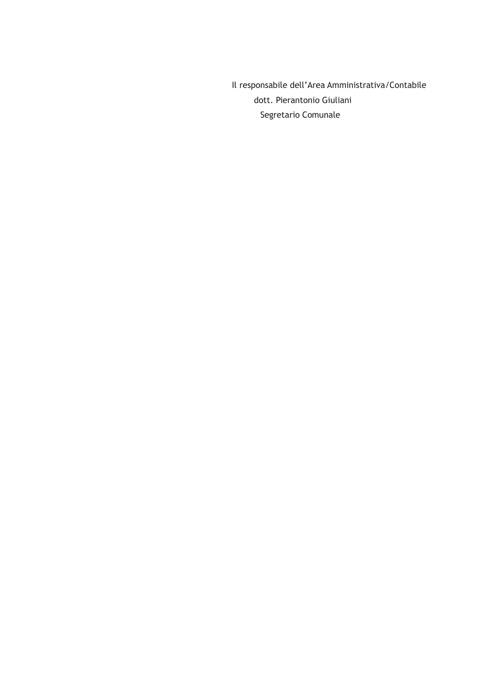Il responsabile dell'Area Amministrativa/Contabile dott. Pierantonio Giuliani Segretario Comunale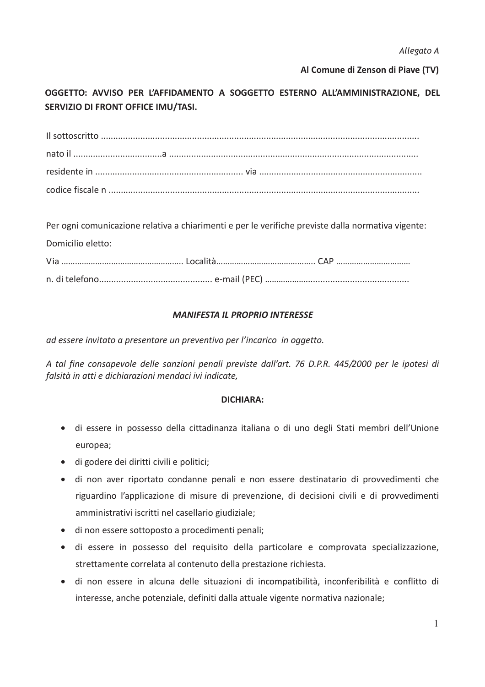Al Comune di Zenson di Piave (TV)

OGGETTO: AVVISO PER L'AFFIDAMENTO A SOGGETTO ESTERNO ALL'AMMINISTRAZIONE, DEL **SERVIZIO DI FRONT OFFICE IMU/TASI.** 

| Per ogni comunicazione relativa a chiarimenti e per le verifiche previste dalla normativa vigente: |  |
|----------------------------------------------------------------------------------------------------|--|
| Domicilio eletto:                                                                                  |  |
|                                                                                                    |  |
|                                                                                                    |  |

# **MANIFESTA IL PROPRIO INTERESSE**

ad essere invitato a presentare un preventivo per l'incarico in oggetto.

A tal fine consapevole delle sanzioni penali previste dall'art. 76 D.P.R. 445/2000 per le ipotesi di falsità in atti e dichiarazioni mendaci ivi indicate,

### **DICHIARA:**

- · di essere in possesso della cittadinanza italiana o di uno degli Stati membri dell'Unione europea;
- · di godere dei diritti civili e politici;
- · di non aver riportato condanne penali e non essere destinatario di provvedimenti che riguardino l'applicazione di misure di prevenzione, di decisioni civili e di provvedimenti amministrativi iscritti nel casellario giudiziale;
- · di non essere sottoposto a procedimenti penali;
- · di essere in possesso del requisito della particolare e comprovata specializzazione, strettamente correlata al contenuto della prestazione richiesta.
- · di non essere in alcuna delle situazioni di incompatibilità, inconferibilità e conflitto di interesse, anche potenziale, definiti dalla attuale vigente normativa nazionale;